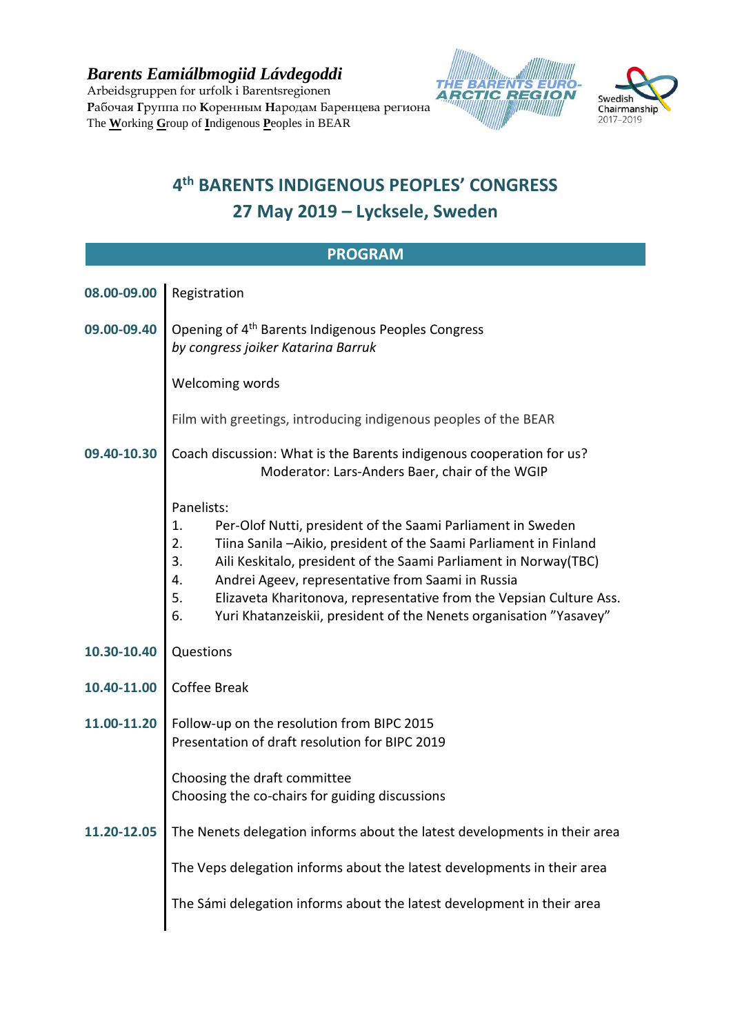*Barents Eamiálbmogiid Lávdegoddi* Arbeidsgruppen for urfolk i Barentsregionen **Р**абочая **Г**руппа по **К**оренным **Н**ародам Баренцева региона The **W**orking **G**roup of **I**ndigenous **P**eoples in BEAR





## **4 th BARENTS INDIGENOUS PEOPLES' CONGRESS 27 May 2019 – Lycksele, Sweden**

| <b>PROGRAM</b> |                                                                                                                                                                                                                                                                                                                                                                                                                                                          |
|----------------|----------------------------------------------------------------------------------------------------------------------------------------------------------------------------------------------------------------------------------------------------------------------------------------------------------------------------------------------------------------------------------------------------------------------------------------------------------|
| 08.00-09.00    | Registration                                                                                                                                                                                                                                                                                                                                                                                                                                             |
| 09.00-09.40    | Opening of 4 <sup>th</sup> Barents Indigenous Peoples Congress<br>by congress joiker Katarina Barruk                                                                                                                                                                                                                                                                                                                                                     |
|                | Welcoming words                                                                                                                                                                                                                                                                                                                                                                                                                                          |
|                | Film with greetings, introducing indigenous peoples of the BEAR                                                                                                                                                                                                                                                                                                                                                                                          |
| 09.40-10.30    | Coach discussion: What is the Barents indigenous cooperation for us?<br>Moderator: Lars-Anders Baer, chair of the WGIP                                                                                                                                                                                                                                                                                                                                   |
|                | Panelists:<br>Per-Olof Nutti, president of the Saami Parliament in Sweden<br>1.<br>2.<br>Tiina Sanila -Aikio, president of the Saami Parliament in Finland<br>3.<br>Aili Keskitalo, president of the Saami Parliament in Norway(TBC)<br>Andrei Ageev, representative from Saami in Russia<br>4.<br>5.<br>Elizaveta Kharitonova, representative from the Vepsian Culture Ass.<br>6.<br>Yuri Khatanzeiskii, president of the Nenets organisation "Yasavey" |
| 10.30-10.40    | Questions                                                                                                                                                                                                                                                                                                                                                                                                                                                |
| 10.40-11.00    | Coffee Break                                                                                                                                                                                                                                                                                                                                                                                                                                             |
| 11.00-11.20    | Follow-up on the resolution from BIPC 2015<br>Presentation of draft resolution for BIPC 2019                                                                                                                                                                                                                                                                                                                                                             |
|                | Choosing the draft committee<br>Choosing the co-chairs for guiding discussions                                                                                                                                                                                                                                                                                                                                                                           |
| 11.20-12.05    | The Nenets delegation informs about the latest developments in their area                                                                                                                                                                                                                                                                                                                                                                                |
|                | The Veps delegation informs about the latest developments in their area                                                                                                                                                                                                                                                                                                                                                                                  |
|                | The Sámi delegation informs about the latest development in their area                                                                                                                                                                                                                                                                                                                                                                                   |